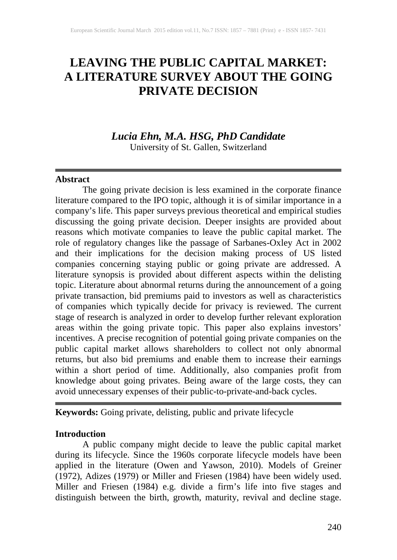## **LEAVING THE PUBLIC CAPITAL MARKET: A LITERATURE SURVEY ABOUT THE GOING PRIVATE DECISION**

## *Lucia Ehn, M.A. HSG, PhD Candidate*

University of St. Gallen, Switzerland

## **Abstract**

The going private decision is less examined in the corporate finance literature compared to the IPO topic, although it is of similar importance in a company's life. This paper surveys previous theoretical and empirical studies discussing the going private decision. Deeper insights are provided about reasons which motivate companies to leave the public capital market. The role of regulatory changes like the passage of Sarbanes-Oxley Act in 2002 and their implications for the decision making process of US listed companies concerning staying public or going private are addressed. A literature synopsis is provided about different aspects within the delisting topic. Literature about abnormal returns during the announcement of a going private transaction, bid premiums paid to investors as well as characteristics of companies which typically decide for privacy is reviewed. The current stage of research is analyzed in order to develop further relevant exploration areas within the going private topic. This paper also explains investors' incentives. A precise recognition of potential going private companies on the public capital market allows shareholders to collect not only abnormal returns, but also bid premiums and enable them to increase their earnings within a short period of time. Additionally, also companies profit from knowledge about going privates. Being aware of the large costs, they can avoid unnecessary expenses of their public-to-private-and-back cycles.

## **Keywords:** Going private, delisting, public and private lifecycle

## **Introduction**

A public company might decide to leave the public capital market during its lifecycle. Since the 1960s corporate lifecycle models have been applied in the literature (Owen and Yawson, 2010). Models of Greiner (1972), Adizes (1979) or Miller and Friesen (1984) have been widely used. Miller and Friesen (1984) e.g. divide a firm's life into five stages and distinguish between the birth, growth, maturity, revival and decline stage.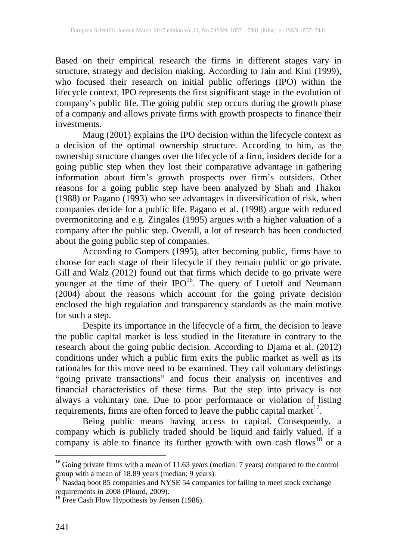Based on their empirical research the firms in different stages vary in structure, strategy and decision making. According to Jain and Kini (1999), who focused their research on initial public offerings (IPO) within the lifecycle context, IPO represents the first significant stage in the evolution of company's public life. The going public step occurs during the growth phase of a company and allows private firms with growth prospects to finance their investments.

Maug (2001) explains the IPO decision within the lifecycle context as a decision of the optimal ownership structure. According to him, as the ownership structure changes over the lifecycle of a firm, insiders decide for a going public step when they lost their comparative advantage in gathering information about firm's growth prospects over firm's outsiders. Other reasons for a going public step have been analyzed by Shah and Thakor (1988) or Pagano (1993) who see advantages in diversification of risk, when companies decide for a public life. Pagano et al. (1998) argue with reduced overmonitoring and e.g. Zingales (1995) argues with a higher valuation of a company after the public step. Overall, a lot of research has been conducted about the going public step of companies.

According to Gompers (1995), after becoming public, firms have to choose for each stage of their lifecycle if they remain public or go private. Gill and Walz (2012) found out that firms which decide to go private were younger at the time of their IPO<sup>16</sup>. The query of Luetolf and Neumann (2004) about the reasons which account for the going private decision enclosed the high regulation and transparency standards as the main motive for such a step.

Despite its importance in the lifecycle of a firm, the decision to leave the public capital market is less studied in the literature in contrary to the research about the going public decision. According to Djama et al. (2012) conditions under which a public firm exits the public market as well as its rationales for this move need to be examined. They call voluntary delistings "going private transactions" and focus their analysis on incentives and financial characteristics of these firms. But the step into privacy is not always a voluntary one. Due to poor performance or violation of listing requirements, firms are often forced to leave the public capital market $17$ .

Being public means having access to capital. Consequently, a company which is publicly traded should be liquid and fairly valued. If a company is able to finance its further growth with own cash flows<sup>18</sup> or a

<sup>&</sup>lt;sup>16</sup> Going private firms with a mean of 11.63 years (median: 7 years) compared to the control

group with a mean of 18.89 years (median: 9 years).<br>
<sup>17</sup> Nasdaq boot 85 companies and NYSE 54 companies for failing to meet stock exchange<br>
requirements in 2008 (Plourd, 2009).

<sup>&</sup>lt;sup>18</sup> Free Cash Flow Hypothesis by Jensen (1986).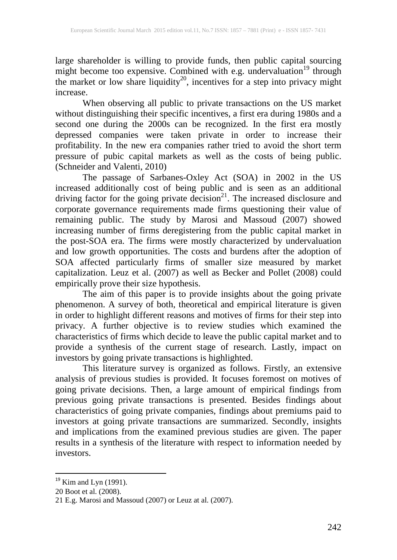large shareholder is willing to provide funds, then public capital sourcing might become too expensive. Combined with e.g. undervaluation<sup>19</sup> through the market or low share liquidity<sup>20</sup>, incentives for a step into privacy might increase.

When observing all public to private transactions on the US market without distinguishing their specific incentives, a first era during 1980s and a second one during the 2000s can be recognized. In the first era mostly depressed companies were taken private in order to increase their profitability. In the new era companies rather tried to avoid the short term pressure of pubic capital markets as well as the costs of being public. (Schneider and Valenti, 2010)

The passage of Sarbanes-Oxley Act (SOA) in 2002 in the US increased additionally cost of being public and is seen as an additional driving factor for the going private decision<sup>21</sup>. The increased disclosure and corporate governance requirements made firms questioning their value of remaining public. The study by Marosi and Massoud (2007) showed increasing number of firms deregistering from the public capital market in the post-SOA era. The firms were mostly characterized by undervaluation and low growth opportunities. The costs and burdens after the adoption of SOA affected particularly firms of smaller size measured by market capitalization. Leuz et al. (2007) as well as Becker and Pollet (2008) could empirically prove their size hypothesis.

The aim of this paper is to provide insights about the going private phenomenon. A survey of both, theoretical and empirical literature is given in order to highlight different reasons and motives of firms for their step into privacy. A further objective is to review studies which examined the characteristics of firms which decide to leave the public capital market and to provide a synthesis of the current stage of research. Lastly, impact on investors by going private transactions is highlighted.

This literature survey is organized as follows. Firstly, an extensive analysis of previous studies is provided. It focuses foremost on motives of going private decisions. Then, a large amount of empirical findings from previous going private transactions is presented. Besides findings about characteristics of going private companies, findings about premiums paid to investors at going private transactions are summarized. Secondly, insights and implications from the examined previous studies are given. The paper results in a synthesis of the literature with respect to information needed by investors.

 $19$  Kim and Lyn (1991).

<sup>20</sup> Boot et al. (2008).

<sup>21</sup> E.g. Marosi and Massoud (2007) or Leuz at al. (2007).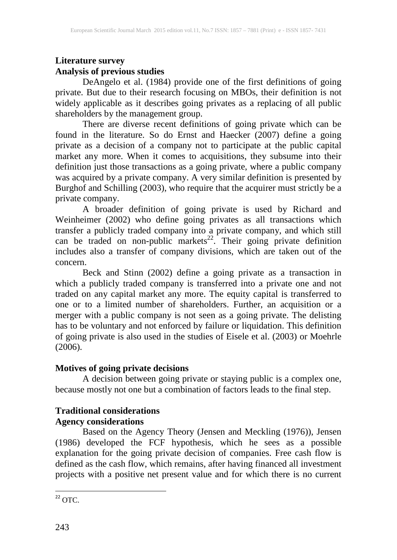## **Literature survey Analysis of previous studies**

DeAngelo et al. (1984) provide one of the first definitions of going private. But due to their research focusing on MBOs, their definition is not widely applicable as it describes going privates as a replacing of all public shareholders by the management group.

There are diverse recent definitions of going private which can be found in the literature. So do Ernst and Haecker (2007) define a going private as a decision of a company not to participate at the public capital market any more. When it comes to acquisitions, they subsume into their definition just those transactions as a going private, where a public company was acquired by a private company. A very similar definition is presented by Burghof and Schilling (2003), who require that the acquirer must strictly be a private company.

A broader definition of going private is used by Richard and Weinheimer (2002) who define going privates as all transactions which transfer a publicly traded company into a private company, and which still can be traded on non-public markets<sup>22</sup>. Their going private definition includes also a transfer of company divisions, which are taken out of the concern.

Beck and Stinn (2002) define a going private as a transaction in which a publicly traded company is transferred into a private one and not traded on any capital market any more. The equity capital is transferred to one or to a limited number of shareholders. Further, an acquisition or a merger with a public company is not seen as a going private. The delisting has to be voluntary and not enforced by failure or liquidation. This definition of going private is also used in the studies of Eisele et al. (2003) or Moehrle  $(2006).$ 

## **Motives of going private decisions**

A decision between going private or staying public is a complex one, because mostly not one but a combination of factors leads to the final step.

# **Traditional considerations**

## **Agency considerations**

Based on the Agency Theory (Jensen and Meckling (1976)), Jensen (1986) developed the FCF hypothesis, which he sees as a possible explanation for the going private decision of companies. Free cash flow is defined as the cash flow, which remains, after having financed all investment projects with a positive net present value and for which there is no current

 $22$  OTC.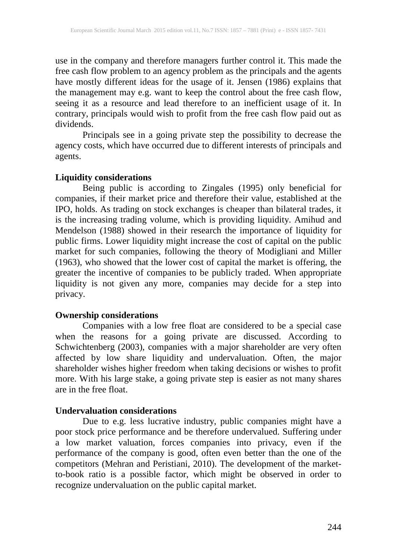use in the company and therefore managers further control it. This made the free cash flow problem to an agency problem as the principals and the agents have mostly different ideas for the usage of it. Jensen (1986) explains that the management may e.g. want to keep the control about the free cash flow, seeing it as a resource and lead therefore to an inefficient usage of it. In contrary, principals would wish to profit from the free cash flow paid out as dividends.

Principals see in a going private step the possibility to decrease the agency costs, which have occurred due to different interests of principals and agents.

#### **Liquidity considerations**

Being public is according to Zingales (1995) only beneficial for companies, if their market price and therefore their value, established at the IPO, holds. As trading on stock exchanges is cheaper than bilateral trades, it is the increasing trading volume, which is providing liquidity. Amihud and Mendelson (1988) showed in their research the importance of liquidity for public firms. Lower liquidity might increase the cost of capital on the public market for such companies, following the theory of Modigliani and Miller (1963), who showed that the lower cost of capital the market is offering, the greater the incentive of companies to be publicly traded. When appropriate liquidity is not given any more, companies may decide for a step into privacy.

#### **Ownership considerations**

Companies with a low free float are considered to be a special case when the reasons for a going private are discussed. According to Schwichtenberg (2003), companies with a major shareholder are very often affected by low share liquidity and undervaluation. Often, the major shareholder wishes higher freedom when taking decisions or wishes to profit more. With his large stake, a going private step is easier as not many shares are in the free float.

## **Undervaluation considerations**

Due to e.g. less lucrative industry, public companies might have a poor stock price performance and be therefore undervalued. Suffering under a low market valuation, forces companies into privacy, even if the performance of the company is good, often even better than the one of the competitors (Mehran and Peristiani, 2010). The development of the marketto-book ratio is a possible factor, which might be observed in order to recognize undervaluation on the public capital market.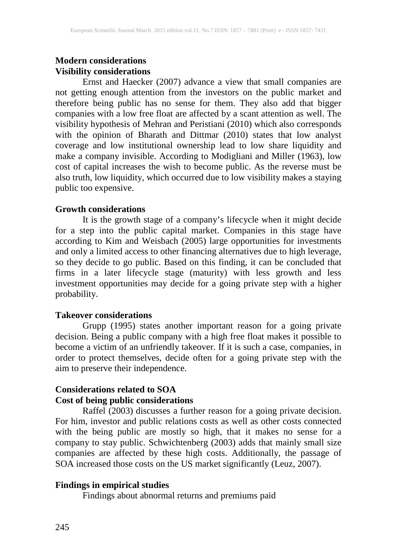## **Modern considerations Visibility considerations**

Ernst and Haecker (2007) advance a view that small companies are not getting enough attention from the investors on the public market and therefore being public has no sense for them. They also add that bigger companies with a low free float are affected by a scant attention as well. The visibility hypothesis of Mehran and Peristiani (2010) which also corresponds with the opinion of Bharath and Dittmar (2010) states that low analyst coverage and low institutional ownership lead to low share liquidity and make a company invisible. According to Modigliani and Miller (1963), low cost of capital increases the wish to become public. As the reverse must be also truth, low liquidity, which occurred due to low visibility makes a staying public too expensive.

#### **Growth considerations**

It is the growth stage of a company's lifecycle when it might decide for a step into the public capital market. Companies in this stage have according to Kim and Weisbach (2005) large opportunities for investments and only a limited access to other financing alternatives due to high leverage, so they decide to go public. Based on this finding, it can be concluded that firms in a later lifecycle stage (maturity) with less growth and less investment opportunities may decide for a going private step with a higher probability.

#### **Takeover considerations**

Grupp (1995) states another important reason for a going private decision. Being a public company with a high free float makes it possible to become a victim of an unfriendly takeover. If it is such a case, companies, in order to protect themselves, decide often for a going private step with the aim to preserve their independence.

#### **Considerations related to SOA Cost of being public considerations**

Raffel (2003) discusses a further reason for a going private decision. For him, investor and public relations costs as well as other costs connected with the being public are mostly so high, that it makes no sense for a company to stay public. Schwichtenberg (2003) adds that mainly small size companies are affected by these high costs. Additionally, the passage of SOA increased those costs on the US market significantly (Leuz, 2007).

#### **Findings in empirical studies**

Findings about abnormal returns and premiums paid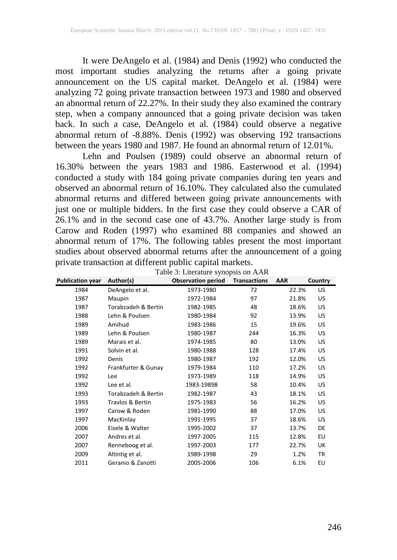It were DeAngelo et al. (1984) and Denis (1992) who conducted the most important studies analyzing the returns after a going private announcement on the US capital market. DeAngelo et al. (1984) were analyzing 72 going private transaction between 1973 and 1980 and observed an abnormal return of 22.27%. In their study they also examined the contrary step, when a company announced that a going private decision was taken back. In such a case, DeAngelo et al. (1984) could observe a negative abnormal return of -8.88%. Denis (1992) was observing 192 transactions between the years 1980 and 1987. He found an abnormal return of 12.01%.

Lehn and Poulsen (1989) could observe an abnormal return of 16.30% between the years 1983 and 1986. Easterwood et al. (1994) conducted a study with 184 going private companies during ten years and observed an abnormal return of 16.10%. They calculated also the cumulated abnormal returns and differed between going private announcements with just one or multiple bidders. In the first case they could observe a CAR of 26.1% and in the second case one of 43.7%. Another large study is from Carow and Roden (1997) who examined 88 companies and showed an abnormal return of 17%. The following tables present the most important studies about observed abnormal returns after the announcement of a going private transaction at different public capital markets.

| <b>Publication year</b> | Author(s)           | <b>Observation period</b> | <b>Transactions</b> | <b>AAR</b> | Country   |
|-------------------------|---------------------|---------------------------|---------------------|------------|-----------|
| 1984                    | DeAngelo et al.     | 1973-1980                 | 72                  | 22.3%      | US        |
| 1987                    | Maupin              | 1972-1984                 | 97                  | 21.8%      | US        |
| 1987                    | Torabzadeh & Bertin | 1982-1985                 | 48                  | 18.6%      | US        |
| 1988                    | Lehn & Poulsen      | 1980-1984                 | 92                  | 13.9%      | US        |
| 1989                    | Amihud              | 1983-1986                 | 15                  | 19.6%      | US        |
| 1989                    | Lehn & Poulsen      | 1980-1987                 | 244                 | 16.3%      | US        |
| 1989                    | Marais et al.       | 1974-1985                 | 80                  | 13.0%      | US        |
| 1991                    | Solvin et al.       | 1980-1988                 | 128                 | 17.4%      | US        |
| 1992                    | Denis               | 1980-1987                 | 192                 | 12.0%      | US        |
| 1992                    | Frankfurter & Gunay | 1979-1984                 | 110                 | 17.2%      | US        |
| 1992                    | Lee                 | 1973-1989                 | 118                 | 14.9%      | US        |
| 1992                    | Lee et al.          | 1983-19898                | 58                  | 10.4%      | US        |
| 1993                    | Torabzadeh & Bertin | 1982-1987                 | 43                  | 18.1%      | US        |
| 1993                    | Travlos & Bertin    | 1975-1983                 | 56                  | 16.2%      | US        |
| 1997                    | Carow & Roden       | 1981-1990                 | 88                  | 17.0%      | US        |
| 1997                    | MacKinlay           | 1991-1995                 | 37                  | 18.6%      | US        |
| 2006                    | Eisele & Walter     | 1995-2002                 | 37                  | 13.7%      | DE        |
| 2007                    | Andres et al.       | 1997-2005                 | 115                 | 12.8%      | EU        |
| 2007                    | Renneboog et al.    | 1997-2003                 | 177                 | 22.7%      | UK        |
| 2009                    | Altintig et al.     | 1989-1998                 | 29                  | 1.2%       | <b>TR</b> |
| 2011                    | Geranio & Zanotti   | 2005-2006                 | 106                 | 6.1%       | EU        |

| Table 3: Literature synopsis on AAR |  |
|-------------------------------------|--|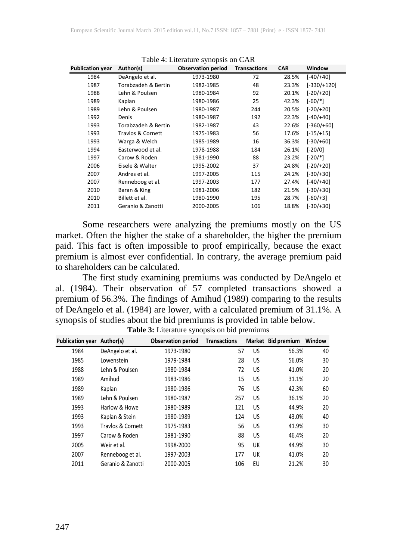| <b>Publication year</b> | Author(s)           | <b>Observation period</b> | <b>Transactions</b> | <b>CAR</b> | Window        |
|-------------------------|---------------------|---------------------------|---------------------|------------|---------------|
| 1984                    | DeAngelo et al.     | 1973-1980                 | 72                  | 28.5%      | $[-40/+40]$   |
| 1987                    | Torabzadeh & Bertin | 1982-1985                 | 48                  | 23.3%      | $[-330/+120]$ |
| 1988                    | Lehn & Poulsen      | 1980-1984                 | 92                  | 20.1%      | $[-20/+20]$   |
| 1989                    | Kaplan              | 1980-1986                 | 25                  | 42.3%      | $[-60/*]$     |
| 1989                    | Lehn & Poulsen      | 1980-1987                 | 244                 | 20.5%      | $[-20/+20]$   |
| 1992                    | Denis               | 1980-1987                 | 192                 | 22.3%      | $[-40/+40]$   |
| 1993                    | Torabzadeh & Bertin | 1982-1987                 | 43                  | 22.6%      | $[-360/+60]$  |
| 1993                    | Travlos & Cornett   | 1975-1983                 | 56                  | 17.6%      | $[-15/+15]$   |
| 1993                    | Warga & Welch       | 1985-1989                 | 16                  | 36.3%      | $[-30/+60]$   |
| 1994                    | Easterwood et al.   | 1978-1988                 | 184                 | 26.1%      | $[-20/0]$     |
| 1997                    | Carow & Roden       | 1981-1990                 | 88                  | 23.2%      | $[-20/*]$     |
| 2006                    | Eisele & Walter     | 1995-2002                 | 37                  | 24.8%      | $[-20/+20]$   |
| 2007                    | Andres et al.       | 1997-2005                 | 115                 | 24.2%      | $[-30/+30]$   |
| 2007                    | Renneboog et al.    | 1997-2003                 | 177                 | 27.4%      | $[-40/+40]$   |
| 2010                    | Baran & King        | 1981-2006                 | 182                 | 21.5%      | $[-30/+30]$   |
| 2010                    | Billett et al.      | 1980-1990                 | 195                 | 28.7%      | $[-60/+3]$    |
| 2011                    | Geranio & Zanotti   | 2000-2005                 | 106                 | 18.8%      | $[-30/+30]$   |

Table 4: Literature synopsis on CAR

Some researchers were analyzing the premiums mostly on the US market. Often the higher the stake of a shareholder, the higher the premium paid. This fact is often impossible to proof empirically, because the exact premium is almost ever confidential. In contrary, the average premium paid to shareholders can be calculated.

The first study examining premiums was conducted by DeAngelo et al. (1984). Their observation of 57 completed transactions showed a premium of 56.3%. The findings of Amihud (1989) comparing to the results of DeAngelo et al. (1984) are lower, with a calculated premium of 31.1%. A synopsis of studies about the bid premiums is provided in table below.

| Publication year Author(s) |                   | <b>Observation period</b> | <b>Transactions</b> |    | Market Bid premium | Window |
|----------------------------|-------------------|---------------------------|---------------------|----|--------------------|--------|
| 1984                       | DeAngelo et al.   | 1973-1980                 | 57                  | US | 56.3%              | 40     |
| 1985                       | Lowenstein        | 1979-1984                 | 28                  | US | 56.0%              | 30     |
| 1988                       | Lehn & Poulsen    | 1980-1984                 | 72                  | US | 41.0%              | 20     |
| 1989                       | Amihud            | 1983-1986                 | 15                  | US | 31.1%              | 20     |
| 1989                       | Kaplan            | 1980-1986                 | 76                  | US | 42.3%              | 60     |
| 1989                       | Lehn & Poulsen    | 1980-1987                 | 257                 | US | 36.1%              | 20     |
| 1993                       | Harlow & Howe     | 1980-1989                 | 121                 | US | 44.9%              | 20     |
| 1993                       | Kaplan & Stein    | 1980-1989                 | 124                 | US | 43.0%              | 40     |
| 1993                       | Travlos & Cornett | 1975-1983                 | 56                  | US | 41.9%              | 30     |
| 1997                       | Carow & Roden     | 1981-1990                 | 88                  | US | 46.4%              | 20     |
| 2005                       | Weir et al.       | 1998-2000                 | 95                  | UK | 44.9%              | 30     |
| 2007                       | Renneboog et al.  | 1997-2003                 | 177                 | UK | 41.0%              | 20     |
| 2011                       | Geranio & Zanotti | 2000-2005                 | 106                 | EU | 21.2%              | 30     |
|                            |                   |                           |                     |    |                    |        |

**Table 3:** Literature synopsis on bid premiums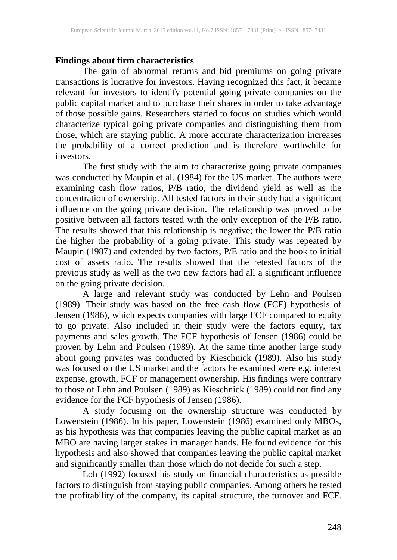#### **Findings about firm characteristics**

The gain of abnormal returns and bid premiums on going private transactions is lucrative for investors. Having recognized this fact, it became relevant for investors to identify potential going private companies on the public capital market and to purchase their shares in order to take advantage of those possible gains. Researchers started to focus on studies which would characterize typical going private companies and distinguishing them from those, which are staying public. A more accurate characterization increases the probability of a correct prediction and is therefore worthwhile for investors.

The first study with the aim to characterize going private companies was conducted by Maupin et al. (1984) for the US market. The authors were examining cash flow ratios, P/B ratio, the dividend yield as well as the concentration of ownership. All tested factors in their study had a significant influence on the going private decision. The relationship was proved to be positive between all factors tested with the only exception of the P/B ratio. The results showed that this relationship is negative; the lower the P/B ratio the higher the probability of a going private. This study was repeated by Maupin (1987) and extended by two factors, P/E ratio and the book to initial cost of assets ratio. The results showed that the retested factors of the previous study as well as the two new factors had all a significant influence on the going private decision.

A large and relevant study was conducted by Lehn and Poulsen (1989). Their study was based on the free cash flow (FCF) hypothesis of Jensen (1986), which expects companies with large FCF compared to equity to go private. Also included in their study were the factors equity, tax payments and sales growth. The FCF hypothesis of Jensen (1986) could be proven by Lehn and Poulsen (1989). At the same time another large study about going privates was conducted by Kieschnick (1989). Also his study was focused on the US market and the factors he examined were e.g. interest expense, growth, FCF or management ownership. His findings were contrary to those of Lehn and Poulsen (1989) as Kieschnick (1989) could not find any evidence for the FCF hypothesis of Jensen (1986).

A study focusing on the ownership structure was conducted by Lowenstein (1986). In his paper, Lowenstein (1986) examined only MBOs, as his hypothesis was that companies leaving the public capital market as an MBO are having larger stakes in manager hands. He found evidence for this hypothesis and also showed that companies leaving the public capital market and significantly smaller than those which do not decide for such a step.

Loh (1992) focused his study on financial characteristics as possible factors to distinguish from staying public companies. Among others he tested the profitability of the company, its capital structure, the turnover and FCF.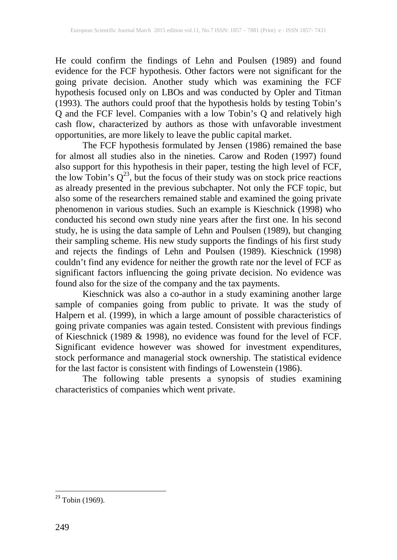He could confirm the findings of Lehn and Poulsen (1989) and found evidence for the FCF hypothesis. Other factors were not significant for the going private decision. Another study which was examining the FCF hypothesis focused only on LBOs and was conducted by Opler and Titman (1993). The authors could proof that the hypothesis holds by testing Tobin's Q and the FCF level. Companies with a low Tobin's Q and relatively high cash flow, characterized by authors as those with unfavorable investment opportunities, are more likely to leave the public capital market.

The FCF hypothesis formulated by Jensen (1986) remained the base for almost all studies also in the nineties. Carow and Roden (1997) found also support for this hypothesis in their paper, testing the high level of FCF, the low Tobin's  $Q^{23}$ , but the focus of their study was on stock price reactions as already presented in the previous subchapter. Not only the FCF topic, but also some of the researchers remained stable and examined the going private phenomenon in various studies. Such an example is Kieschnick (1998) who conducted his second own study nine years after the first one. In his second study, he is using the data sample of Lehn and Poulsen (1989), but changing their sampling scheme. His new study supports the findings of his first study and rejects the findings of Lehn and Poulsen (1989). Kieschnick (1998) couldn't find any evidence for neither the growth rate nor the level of FCF as significant factors influencing the going private decision. No evidence was found also for the size of the company and the tax payments.

Kieschnick was also a co-author in a study examining another large sample of companies going from public to private. It was the study of Halpern et al. (1999), in which a large amount of possible characteristics of going private companies was again tested. Consistent with previous findings of Kieschnick (1989 & 1998), no evidence was found for the level of FCF. Significant evidence however was showed for investment expenditures, stock performance and managerial stock ownership. The statistical evidence for the last factor is consistent with findings of Lowenstein (1986).

The following table presents a synopsis of studies examining characteristics of companies which went private.

 $23$  Tobin (1969).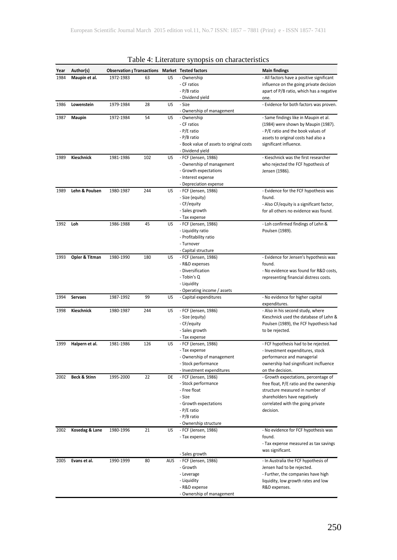| Year | Author(s)               |           |     |     | Observation r Transactions Market Tested factors | <b>Main findings</b>                             |
|------|-------------------------|-----------|-----|-----|--------------------------------------------------|--------------------------------------------------|
| 1984 | Maupin et al.           | 1972-1983 | 63  | US  | - Ownership                                      | - All factors have a positive significant        |
|      |                         |           |     |     | - CF ratios                                      | influence on the going private decision          |
|      |                         |           |     |     | - P/B ratio                                      | apart of P/B ratio, which has a negative         |
|      |                         |           |     |     | - Dividend yield                                 | one.                                             |
| 1986 | Lowenstein              | 1979-1984 | 28  | US  | - Size<br>- Ownership of management              | - Evidence for both factors was proven.          |
| 1987 | Maupin                  | 1972-1984 | 54  | US  | - Ownership                                      | - Same findings like in Maupin et al.            |
|      |                         |           |     |     | - CF ratios                                      | (1984) were shown by Maupin (1987).              |
|      |                         |           |     |     | - P/E ratio                                      | - P/E ratio and the book values of               |
|      |                         |           |     |     | - P/B ratio                                      | assets to original costs had also a              |
|      |                         |           |     |     | - Book value of assets to original costs         | significant influence.                           |
|      |                         |           |     |     | - Dividend yield                                 |                                                  |
| 1989 | Kieschnick              | 1981-1986 | 102 | US  | - FCF (Jensen, 1986)                             | - Kieschnick was the first researcher            |
|      |                         |           |     |     | - Ownership of management                        | who rejected the FCF hypothesis of               |
|      |                         |           |     |     | - Growth expectations                            | Jensen (1986).                                   |
|      |                         |           |     |     | - Interest expense                               |                                                  |
|      |                         |           |     |     | - Depreciation expense                           |                                                  |
| 1989 | Lehn & Poulsen          | 1980-1987 | 244 | US  | - FCF (Jensen, 1986)                             | - Evidence for the FCF hypothesis was            |
|      |                         |           |     |     | - Size (equity)                                  | found.                                           |
|      |                         |           |     |     | - CF/equity                                      | - Also CF/equity is a significant factor,        |
|      |                         |           |     |     | - Sales growth                                   | for all others no evidence was found.            |
|      |                         |           |     |     | - Tax expense                                    |                                                  |
| 1992 | Loh                     | 1986-1988 | 45  | US  | - FCF (Jensen, 1986)                             | - Loh confirmed findings of Lehn &               |
|      |                         |           |     |     | - Liquidity ratio                                | Poulsen (1989).                                  |
|      |                         |           |     |     | - Profitability ratio                            |                                                  |
|      |                         |           |     |     | - Turnover                                       |                                                  |
|      |                         |           |     |     | - Capital structure                              |                                                  |
| 1993 | Opler & Titman          | 1980-1990 | 180 | US  | - FCF (Jensen, 1986)                             | - Evidence for Jensen's hypothesis was           |
|      |                         |           |     |     | - R&D expenses<br>- Diversification              | found.<br>- No evidence was found for R&D costs, |
|      |                         |           |     |     | - Tobin's Q                                      | representing financial distress costs.           |
|      |                         |           |     |     | - Liquidity                                      |                                                  |
|      |                         |           |     |     | - Operating income / assets                      |                                                  |
| 1994 | <b>Servaes</b>          | 1987-1992 | 99  | US  | - Capital expenditures                           | - No evidence for higher capital                 |
|      |                         |           |     |     |                                                  | expenditures.                                    |
| 1998 | Kieschnick              | 1980-1987 | 244 | US  | - FCF (Jensen, 1986)                             | - Also in his second study, where                |
|      |                         |           |     |     | - Size (equity)                                  | Kieschnick used the database of Lehn &           |
|      |                         |           |     |     | - CF/equity                                      | Poulsen (1989), the FCF hypothesis had           |
|      |                         |           |     |     | - Sales growth                                   | to be rejected.                                  |
|      |                         |           |     |     | - Tax expense                                    |                                                  |
| 1999 | Halpern et al.          | 1981-1986 | 126 | US  | - FCF (Jensen, 1986)                             | - FCF hypothesis had to be rejected.             |
|      |                         |           |     |     | - Tax expense                                    | - Investment expenditures, stock                 |
|      |                         |           |     |     | - Ownership of management                        | performance and managerial                       |
|      |                         |           |     |     | - Stock performance                              | ownership had singnificant incfluence            |
|      |                         |           |     |     | - Investment expenditures                        | on the decision.                                 |
| 2002 | <b>Beck &amp; Stinn</b> | 1995-2000 | 22  | DE  | - FCF (Jensen, 1986)                             | - Growth expectations, percentage of             |
|      |                         |           |     |     | - Stock performance                              | free float, P/E ratio and the ownership          |
|      |                         |           |     |     | - Free float                                     | structure measured in number of                  |
|      |                         |           |     |     | - Size                                           | shareholders have negatively                     |
|      |                         |           |     |     | - Growth expectations                            | correlated with the going private                |
|      |                         |           |     |     | - P/E ratio                                      | decision.                                        |
|      |                         |           |     |     | - P/B ratio<br>- Ownership structure             |                                                  |
| 2002 | Kosedag & Lane          | 1980-1996 | 21  | US  | - FCF (Jensen, 1986)                             | - No evidence for FCF hypothesis was             |
|      |                         |           |     |     | - Tax expense                                    | found.                                           |
|      |                         |           |     |     |                                                  | - Tax expense measured as tax savings            |
|      |                         |           |     |     |                                                  | was significant.                                 |
|      |                         |           |     |     | - Sales growth                                   |                                                  |
| 2005 | Evans et al.            | 1990-1999 | 80  | AUS | - FCF (Jensen, 1986)                             | - In Australia the FCF hypothesis of             |
|      |                         |           |     |     | - Growth                                         | Jensen had to be rejected.                       |
|      |                         |           |     |     | - Leverage                                       | - Further, the companies have high               |
|      |                         |           |     |     | - Liquidity                                      | liquidity, low growth rates and low              |
|      |                         |           |     |     | - R&D expense                                    | R&D expenses.                                    |
|      |                         |           |     |     | - Ownership of management                        |                                                  |

#### Table 4: Literature synopsis on characteristics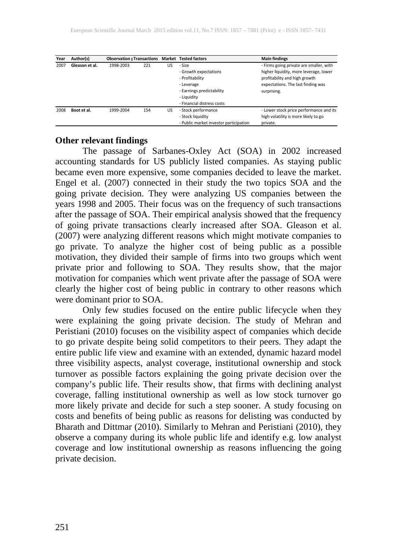| Year | Author(s)      | Observation r Transactions Market Tested factors |     |    |                                        | <b>Main findings</b>                    |
|------|----------------|--------------------------------------------------|-----|----|----------------------------------------|-----------------------------------------|
| 2007 | Gleason et al. | 1998-2003                                        | 221 | US | - Size                                 | - Firms going private are smaller, with |
|      |                |                                                  |     |    | - Growth expectations                  | higher liquidity, more leverage, lower  |
|      |                |                                                  |     |    | - Profitability                        | profitability and high growth           |
|      |                |                                                  |     |    | - Leverage                             | expectations. The last finding was      |
|      |                |                                                  |     |    | - Earnings predictability              | surprising.                             |
|      |                |                                                  |     |    | - Liauidity                            |                                         |
|      |                |                                                  |     |    | - Financial distress costs             |                                         |
| 2008 | Boot et al.    | 1999-2004                                        | 154 | US | - Stock performance                    | - Lower stock price performance and its |
|      |                |                                                  |     |    | - Stock liquidity                      | high volatility is more likely to go    |
|      |                |                                                  |     |    | - Public market investor participation | private.                                |

#### **Other relevant findings**

The passage of Sarbanes-Oxley Act (SOA) in 2002 increased accounting standards for US publicly listed companies. As staying public became even more expensive, some companies decided to leave the market. Engel et al. (2007) connected in their study the two topics SOA and the going private decision. They were analyzing US companies between the years 1998 and 2005. Their focus was on the frequency of such transactions after the passage of SOA. Their empirical analysis showed that the frequency of going private transactions clearly increased after SOA. Gleason et al. (2007) were analyzing different reasons which might motivate companies to go private. To analyze the higher cost of being public as a possible motivation, they divided their sample of firms into two groups which went private prior and following to SOA. They results show, that the major motivation for companies which went private after the passage of SOA were clearly the higher cost of being public in contrary to other reasons which<br>were dominant prior to SOA. were dominant prior to SOA.

Only few studies focused on the entire public lifecycle when they were explaining the going private decision. The study of Mehran and Peristiani (2010) focuses on the visibility aspect of companies which decide to go private despite being solid competitors to their peers. They adapt the entire public life view and examine with an extended, dynamic hazard model three visibility aspects, analyst coverage, institutional ownership and stock turnover as possible factors explaining the going private decision over the company's public life. Their results show, that firms with declining analyst coverage, falling institutional ownership as well as low stock turnover go more likely private and decide for such a step sooner. A study focusing on costs and benefits of being public as reasons for delisting was conducted by Bharath and Dittmar (2010). Similarly to Mehran and Peristiani (2010), they observe a company during its whole public life and identify e.g. low analyst coverage and low institutional ownership as reasons influencing the going private decision.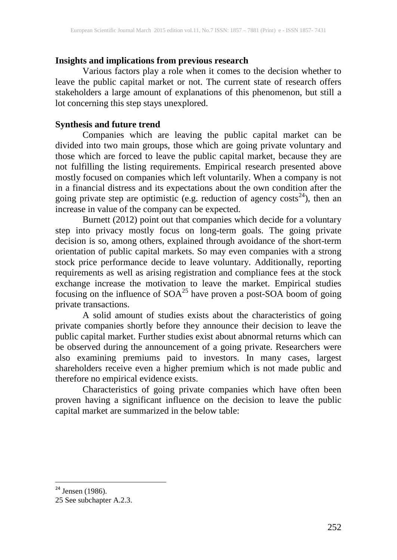## **Insights and implications from previous research**

Various factors play a role when it comes to the decision whether to leave the public capital market or not. The current state of research offers stakeholders a large amount of explanations of this phenomenon, but still a lot concerning this step stays unexplored.

#### **Synthesis and future trend**

Companies which are leaving the public capital market can be divided into two main groups, those which are going private voluntary and those which are forced to leave the public capital market, because they are not fulfilling the listing requirements. Empirical research presented above mostly focused on companies which left voluntarily. When a company is not in a financial distress and its expectations about the own condition after the going private step are optimistic (e.g. reduction of agency costs<sup>24</sup>), then an increase in value of the company can be expected.

Burnett (2012) point out that companies which decide for a voluntary step into privacy mostly focus on long-term goals. The going private decision is so, among others, explained through avoidance of the short-term orientation of public capital markets. So may even companies with a strong stock price performance decide to leave voluntary. Additionally, reporting requirements as well as arising registration and compliance fees at the stock exchange increase the motivation to leave the market. Empirical studies focusing on the influence of  $SOA^{25}$  have proven a post-SOA boom of going private transactions.

A solid amount of studies exists about the characteristics of going private companies shortly before they announce their decision to leave the public capital market. Further studies exist about abnormal returns which can be observed during the announcement of a going private. Researchers were also examining premiums paid to investors. In many cases, largest shareholders receive even a higher premium which is not made public and therefore no empirical evidence exists.

Characteristics of going private companies which have often been proven having a significant influence on the decision to leave the public capital market are summarized in the below table:

 $24$  Jensen (1986).

<sup>25</sup> See subchapter A.2.3.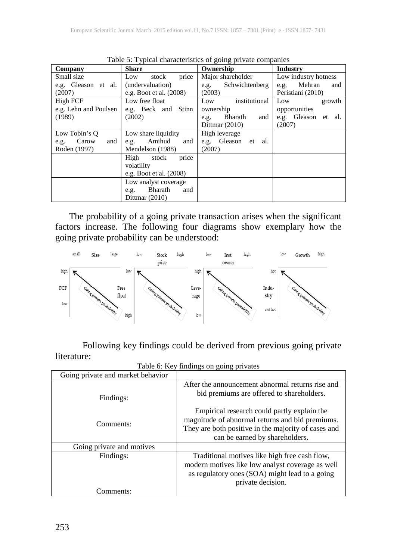| Company                                               | Table 5. Typical characteristics of going private companies<br><b>Share</b> | Ownership                                                                       | <b>Industry</b>                                                    |
|-------------------------------------------------------|-----------------------------------------------------------------------------|---------------------------------------------------------------------------------|--------------------------------------------------------------------|
| Small size<br>e.g. Gleason et al.<br>(2007)           | price<br>stock<br>Low<br>(undervaluation)<br>e.g. Boot et al. (2008)        | Major shareholder<br>Schwichtenberg<br>e.g.<br>(2003)                           | Low industry hotness<br>Mehran<br>and<br>e.g.<br>Peristiani (2010) |
| High FCF<br>e.g. Lehn and Poulsen<br>(1989)           | Low free float<br>e.g. Beck and Stinn<br>(2002)                             | institutional<br>Low<br>ownership<br>Bharath<br>and<br>e.g.<br>Dittmar $(2010)$ | Low<br>growth<br>opportunities<br>e.g. Gleason et al.<br>(2007)    |
| Low Tobin's Q<br>Carow<br>and<br>e.g.<br>Roden (1997) | Low share liquidity<br>Amihud<br>and<br>e.g.<br>Mendelson (1988)            | High leverage<br>e.g. Gleason et<br>al.<br>(2007)                               |                                                                    |
|                                                       | High<br>stock<br>price<br>volatility<br>e.g. Boot et al. (2008)             |                                                                                 |                                                                    |
|                                                       | Low analyst coverage<br>Bharath<br>and<br>e.g.<br>Dittmar $(2010)$          |                                                                                 |                                                                    |

Table 5: Typical characteristics of going private companies

The probability of a going private transaction arises when the significant factors increase. The following four diagrams show exemplary how the going private probability can be understood:



Following key findings could be derived from previous going private literature:

|                                   | Table 0. ISCY Infusings on going privates                                                                                                                                               |
|-----------------------------------|-----------------------------------------------------------------------------------------------------------------------------------------------------------------------------------------|
| Going private and market behavior |                                                                                                                                                                                         |
| Findings:                         | After the announcement abnormal returns rise and<br>bid premiums are offered to shareholders.                                                                                           |
| Comments:                         | Empirical research could partly explain the<br>magnitude of abnormal returns and bid premiums.<br>They are both positive in the majority of cases and<br>can be earned by shareholders. |
| Going private and motives         |                                                                                                                                                                                         |
| Findings:                         | Traditional motives like high free cash flow,<br>modern motives like low analyst coverage as well<br>as regulatory ones (SOA) might lead to a going<br>private decision.                |
| Comments:                         |                                                                                                                                                                                         |

Table 6: Key findings on going privates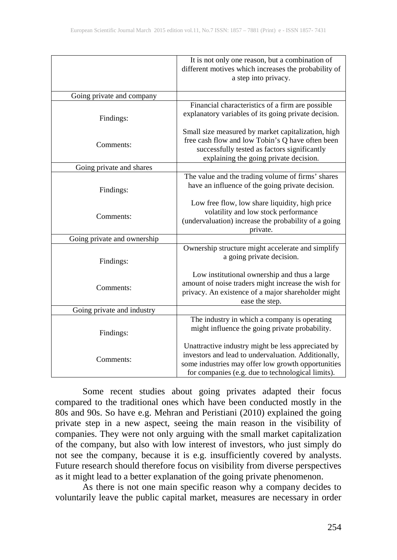|                             | It is not only one reason, but a combination of<br>different motives which increases the probability of<br>a step into privacy.                                                                                      |
|-----------------------------|----------------------------------------------------------------------------------------------------------------------------------------------------------------------------------------------------------------------|
| Going private and company   |                                                                                                                                                                                                                      |
| Findings:                   | Financial characteristics of a firm are possible<br>explanatory variables of its going private decision.                                                                                                             |
| Comments:                   | Small size measured by market capitalization, high<br>free cash flow and low Tobin's Q have often been<br>successfully tested as factors significantly<br>explaining the going private decision.                     |
| Going private and shares    |                                                                                                                                                                                                                      |
| Findings:                   | The value and the trading volume of firms' shares<br>have an influence of the going private decision.                                                                                                                |
| Comments:                   | Low free flow, low share liquidity, high price<br>volatility and low stock performance<br>(undervaluation) increase the probability of a going<br>private.                                                           |
| Going private and ownership |                                                                                                                                                                                                                      |
| Findings:                   | Ownership structure might accelerate and simplify<br>a going private decision.                                                                                                                                       |
| Comments:                   | Low institutional ownership and thus a large<br>amount of noise traders might increase the wish for<br>privacy. An existence of a major shareholder might<br>ease the step.                                          |
| Going private and industry  |                                                                                                                                                                                                                      |
| Findings:                   | The industry in which a company is operating<br>might influence the going private probability.                                                                                                                       |
| Comments:                   | Unattractive industry might be less appreciated by<br>investors and lead to undervaluation. Additionally,<br>some industries may offer low growth opportunities<br>for companies (e.g. due to technological limits). |

Some recent studies about going privates adapted their focus compared to the traditional ones which have been conducted mostly in the 80s and 90s. So have e.g. Mehran and Peristiani (2010) explained the going private step in a new aspect, seeing the main reason in the visibility of companies. They were not only arguing with the small market capitalization of the company, but also with low interest of investors, who just simply do not see the company, because it is e.g. insufficiently covered by analysts. Future research should therefore focus on visibility from diverse perspectives as it might lead to a better explanation of the going private phenomenon.

As there is not one main specific reason why a company decides to voluntarily leave the public capital market, measures are necessary in order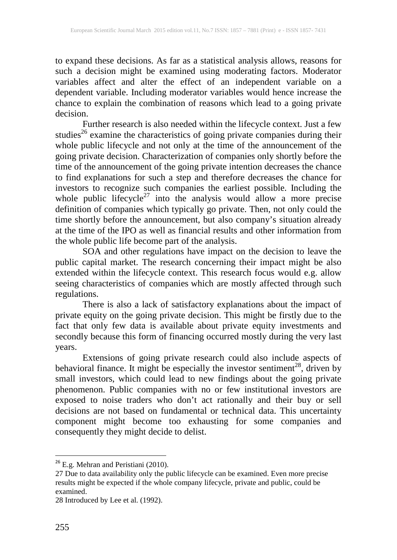to expand these decisions. As far as a statistical analysis allows, reasons for such a decision might be examined using moderating factors. Moderator variables affect and alter the effect of an independent variable on a dependent variable. Including moderator variables would hence increase the chance to explain the combination of reasons which lead to a going private decision.

Further research is also needed within the lifecycle context. Just a few studies<sup>26</sup> examine the characteristics of going private companies during their whole public lifecycle and not only at the time of the announcement of the going private decision. Characterization of companies only shortly before the time of the announcement of the going private intention decreases the chance to find explanations for such a step and therefore decreases the chance for investors to recognize such companies the earliest possible. Including the whole public lifecycle<sup>27</sup> into the analysis would allow a more precise definition of companies which typically go private. Then, not only could the time shortly before the announcement, but also company's situation already at the time of the IPO as well as financial results and other information from the whole public life become part of the analysis.

SOA and other regulations have impact on the decision to leave the public capital market. The research concerning their impact might be also extended within the lifecycle context. This research focus would e.g. allow seeing characteristics of companies which are mostly affected through such regulations.

There is also a lack of satisfactory explanations about the impact of private equity on the going private decision. This might be firstly due to the fact that only few data is available about private equity investments and secondly because this form of financing occurred mostly during the very last years.

Extensions of going private research could also include aspects of behavioral finance. It might be especially the investor sentiment<sup>28</sup>, driven by small investors, which could lead to new findings about the going private phenomenon. Public companies with no or few institutional investors are exposed to noise traders who don't act rationally and their buy or sell decisions are not based on fundamental or technical data. This uncertainty component might become too exhausting for some companies and consequently they might decide to delist.

<sup>&</sup>lt;sup>26</sup> E.g. Mehran and Peristiani (2010).

<sup>27</sup> Due to data availability only the public lifecycle can be examined. Even more precise results might be expected if the whole company lifecycle, private and public, could be examined.

<sup>28</sup> Introduced by Lee et al. (1992).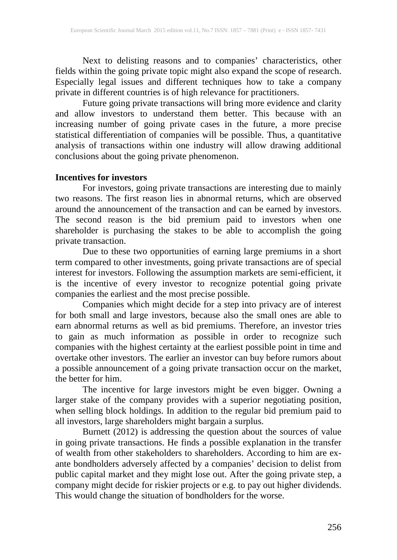Next to delisting reasons and to companies' characteristics, other fields within the going private topic might also expand the scope of research. Especially legal issues and different techniques how to take a company private in different countries is of high relevance for practitioners.

Future going private transactions will bring more evidence and clarity and allow investors to understand them better. This because with an increasing number of going private cases in the future, a more precise statistical differentiation of companies will be possible. Thus, a quantitative analysis of transactions within one industry will allow drawing additional conclusions about the going private phenomenon.

#### **Incentives for investors**

For investors, going private transactions are interesting due to mainly two reasons. The first reason lies in abnormal returns, which are observed around the announcement of the transaction and can be earned by investors. The second reason is the bid premium paid to investors when one shareholder is purchasing the stakes to be able to accomplish the going private transaction.

Due to these two opportunities of earning large premiums in a short term compared to other investments, going private transactions are of special interest for investors. Following the assumption markets are semi-efficient, it is the incentive of every investor to recognize potential going private companies the earliest and the most precise possible.

Companies which might decide for a step into privacy are of interest for both small and large investors, because also the small ones are able to earn abnormal returns as well as bid premiums. Therefore, an investor tries to gain as much information as possible in order to recognize such companies with the highest certainty at the earliest possible point in time and overtake other investors. The earlier an investor can buy before rumors about a possible announcement of a going private transaction occur on the market, the better for him.

The incentive for large investors might be even bigger. Owning a larger stake of the company provides with a superior negotiating position, when selling block holdings. In addition to the regular bid premium paid to all investors, large shareholders might bargain a surplus.

Burnett (2012) is addressing the question about the sources of value in going private transactions. He finds a possible explanation in the transfer of wealth from other stakeholders to shareholders. According to him are exante bondholders adversely affected by a companies' decision to delist from public capital market and they might lose out. After the going private step, a company might decide for riskier projects or e.g. to pay out higher dividends. This would change the situation of bondholders for the worse.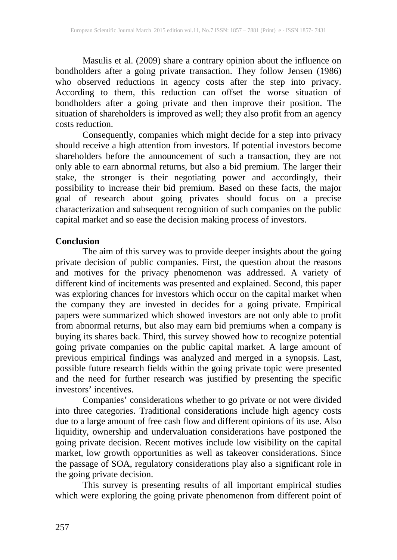Masulis et al. (2009) share a contrary opinion about the influence on bondholders after a going private transaction. They follow Jensen (1986) who observed reductions in agency costs after the step into privacy. According to them, this reduction can offset the worse situation of bondholders after a going private and then improve their position. The situation of shareholders is improved as well; they also profit from an agency costs reduction.

Consequently, companies which might decide for a step into privacy should receive a high attention from investors. If potential investors become shareholders before the announcement of such a transaction, they are not only able to earn abnormal returns, but also a bid premium. The larger their stake, the stronger is their negotiating power and accordingly, their possibility to increase their bid premium. Based on these facts, the major goal of research about going privates should focus on a precise characterization and subsequent recognition of such companies on the public capital market and so ease the decision making process of investors.

#### **Conclusion**

The aim of this survey was to provide deeper insights about the going private decision of public companies. First, the question about the reasons and motives for the privacy phenomenon was addressed. A variety of different kind of incitements was presented and explained. Second, this paper was exploring chances for investors which occur on the capital market when the company they are invested in decides for a going private. Empirical papers were summarized which showed investors are not only able to profit from abnormal returns, but also may earn bid premiums when a company is buying its shares back. Third, this survey showed how to recognize potential going private companies on the public capital market. A large amount of previous empirical findings was analyzed and merged in a synopsis. Last, possible future research fields within the going private topic were presented and the need for further research was justified by presenting the specific investors' incentives.

Companies' considerations whether to go private or not were divided into three categories. Traditional considerations include high agency costs due to a large amount of free cash flow and different opinions of its use. Also liquidity, ownership and undervaluation considerations have postponed the going private decision. Recent motives include low visibility on the capital market, low growth opportunities as well as takeover considerations. Since the passage of SOA, regulatory considerations play also a significant role in the going private decision.

This survey is presenting results of all important empirical studies which were exploring the going private phenomenon from different point of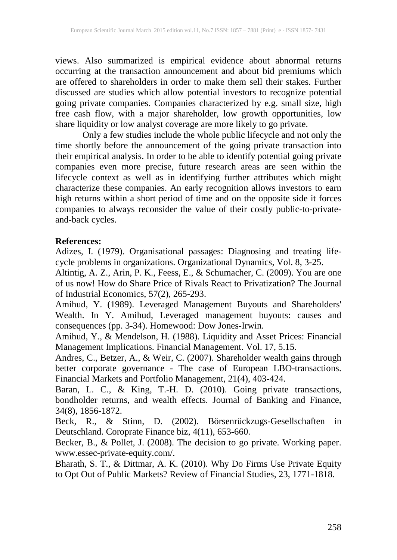views. Also summarized is empirical evidence about abnormal returns occurring at the transaction announcement and about bid premiums which are offered to shareholders in order to make them sell their stakes. Further discussed are studies which allow potential investors to recognize potential going private companies. Companies characterized by e.g. small size, high free cash flow, with a major shareholder, low growth opportunities, low share liquidity or low analyst coverage are more likely to go private.

Only a few studies include the whole public lifecycle and not only the time shortly before the announcement of the going private transaction into their empirical analysis. In order to be able to identify potential going private companies even more precise, future research areas are seen within the lifecycle context as well as in identifying further attributes which might characterize these companies. An early recognition allows investors to earn high returns within a short period of time and on the opposite side it forces companies to always reconsider the value of their costly public-to-privateand-back cycles.

## **References:**

Adizes, I. (1979). Organisational passages: Diagnosing and treating lifecycle problems in organizations. Organizational Dynamics, Vol. 8, 3-25.

Altintig, A. Z., Arin, P. K., Feess, E., & Schumacher, C. (2009). You are one of us now! How do Share Price of Rivals React to Privatization? The Journal of Industrial Economics, 57(2), 265-293.

Amihud, Y. (1989). Leveraged Management Buyouts and Shareholders' Wealth. In Y. Amihud, Leveraged management buyouts: causes and consequences (pp. 3-34). Homewood: Dow Jones-Irwin.

Amihud, Y., & Mendelson, H. (1988). Liquidity and Asset Prices: Financial Management Implications. Financial Management. Vol. 17, 5.15.

Andres, C., Betzer, A., & Weir, C. (2007). Shareholder wealth gains through better corporate governance - The case of European LBO-transactions. Financial Markets and Portfolio Management, 21(4), 403-424.

Baran, L. C., & King, T.-H. D. (2010). Going private transactions, bondholder returns, and wealth effects. Journal of Banking and Finance, 34(8), 1856-1872.

Beck, R., & Stinn, D. (2002). Börsenrückzugs-Gesellschaften in Deutschland. Coroprate Finance biz, 4(11), 653-660.

Becker, B., & Pollet, J. (2008). The decision to go private. Working paper. www.essec-private-equity.com/.

Bharath, S. T., & Dittmar, A. K. (2010). Why Do Firms Use Private Equity to Opt Out of Public Markets? Review of Financial Studies, 23, 1771-1818.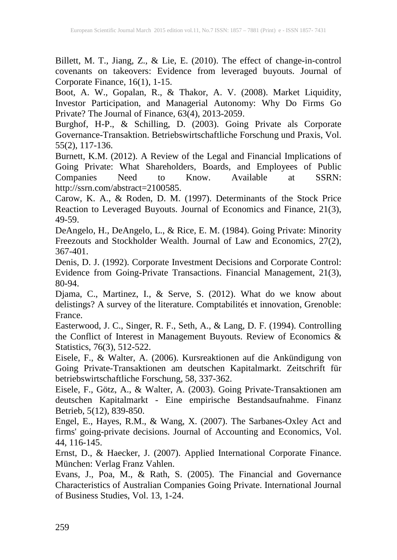Billett, M. T., Jiang, Z., & Lie, E. (2010). The effect of change-in-control covenants on takeovers: Evidence from leveraged buyouts. Journal of Corporate Finance, 16(1), 1-15.

Boot, A. W., Gopalan, R., & Thakor, A. V. (2008). Market Liquidity, Investor Participation, and Managerial Autonomy: Why Do Firms Go Private? The Journal of Finance, 63(4), 2013-2059.

Burghof, H-P., & Schilling, D. (2003). Going Private als Corporate Governance-Transaktion. Betriebswirtschaftliche Forschung und Praxis, Vol. 55(2), 117-136.

Burnett, K.M. (2012). A Review of the Legal and Financial Implications of Going Private: What Shareholders, Boards, and Employees of Public Companies Need to Know Available at SSRN: Companies Need to Know. Available at SSRN: http://ssrn.com/abstract=2100585.

Carow, K. A., & Roden, D. M. (1997). Determinants of the Stock Price Reaction to Leveraged Buyouts. Journal of Economics and Finance, 21(3), 49-59.

DeAngelo, H., DeAngelo, L., & Rice, E. M. (1984). Going Private: Minority Freezouts and Stockholder Wealth. Journal of Law and Economics, 27(2), 367-401.

Denis, D. J. (1992). Corporate Investment Decisions and Corporate Control: Evidence from Going-Private Transactions. Financial Management, 21(3), 80-94.

Djama, C., Martinez, I., & Serve, S. (2012). What do we know about delistings? A survey of the literature. Comptabilités et innovation, Grenoble: France.

Easterwood, J. C., Singer, R. F., Seth, A., & Lang, D. F. (1994). Controlling the Conflict of Interest in Management Buyouts. Review of Economics & Statistics, 76(3), 512-522.

Eisele, F., & Walter, A. (2006). Kursreaktionen auf die Ankündigung von Going Private-Transaktionen am deutschen Kapitalmarkt. Zeitschrift für betriebswirtschaftliche Forschung, 58, 337-362.

Eisele, F., Götz, A., & Walter, A. (2003). Going Private-Transaktionen am deutschen Kapitalmarkt - Eine empirische Bestandsaufnahme. Finanz Betrieb, 5(12), 839-850.

Engel, E., Hayes, R.M., & Wang, X. (2007). The Sarbanes-Oxley Act and firms' going-private decisions. Journal of Accounting and Economics, Vol. 44, 116-145.

Ernst, D., & Haecker, J. (2007). Applied International Corporate Finance. München: Verlag Franz Vahlen.

Evans, J., Poa, M., & Rath, S. (2005). The Financial and Governance Characteristics of Australian Companies Going Private. International Journal of Business Studies, Vol. 13, 1-24.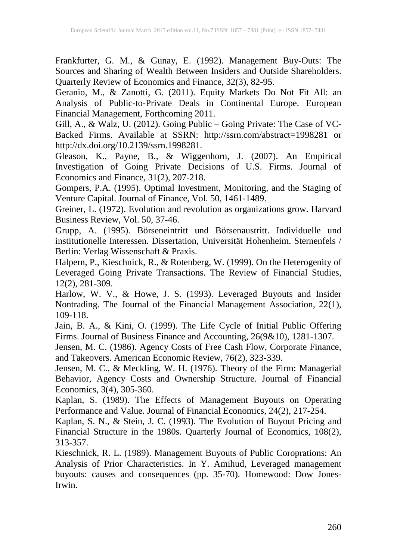Frankfurter, G. M., & Gunay, E. (1992). Management Buy-Outs: The Sources and Sharing of Wealth Between Insiders and Outside Shareholders. Quarterly Review of Economics and Finance, 32(3), 82-95.

Geranio, M., & Zanotti, G. (2011). Equity Markets Do Not Fit All: an Analysis of Public-to-Private Deals in Continental Europe. European Financial Management, Forthcoming 2011.

Gill, A., & Walz, U. (2012). Going Public – Going Private: The Case of VC-Backed Firms. Available at SSRN: http://ssrn.com/abstract=1998281 or http://dx.doi.org/10.2139/ssrn.1998281.

Gleason, K., Payne, B., & Wiggenhorn, J. (2007). An Empirical Investigation of Going Private Decisions of U.S. Firms. Journal of Economics and Finance, 31(2), 207-218.

Gompers, P.A. (1995). Optimal Investment, Monitoring, and the Staging of Venture Capital. Journal of Finance, Vol. 50, 1461-1489.

Greiner, L. (1972). Evolution and revolution as organizations grow. Harvard Business Review, Vol. 50, 37-46.

Grupp, A. (1995). Börseneintritt und Börsenaustritt. Individuelle und institutionelle Interessen. Dissertation, Universität Hohenheim. Sternenfels / Berlin: Verlag Wissenschaft & Praxis.

Halpern, P., Kieschnick, R., & Rotenberg, W. (1999). On the Heterogenity of Leveraged Going Private Transactions. The Review of Financial Studies, 12(2), 281-309.

Harlow, W. V., & Howe, J. S. (1993). Leveraged Buyouts and Insider Nontrading. The Journal of the Financial Management Association, 22(1), 109-118.

Jain, B. A., & Kini, O. (1999). The Life Cycle of Initial Public Offering Firms. Journal of Business Finance and Accounting, 26(9&10), 1281-1307.

Jensen, M. C. (1986). Agency Costs of Free Cash Flow, Corporate Finance, and Takeovers. American Economic Review, 76(2), 323-339.

Jensen, M. C., & Meckling, W. H. (1976). Theory of the Firm: Managerial Behavior, Agency Costs and Ownership Structure. Journal of Financial Economics,  $3(4)$ ,  $305-360$ .

Kaplan, S. (1989). The Effects of Management Buyouts on Operating Performance and Value. Journal of Financial Economics, 24(2), 217-254.

Kaplan, S. N., & Stein, J. C. (1993). The Evolution of Buyout Pricing and Financial Structure in the 1980s. Quarterly Journal of Economics, 108(2), 313-357.

Kieschnick, R. L. (1989). Management Buyouts of Public Coroprations: An Analysis of Prior Characteristics. In Y. Amihud, Leveraged management buyouts: causes and consequences (pp. 35-70). Homewood: Dow Jones-Irwin.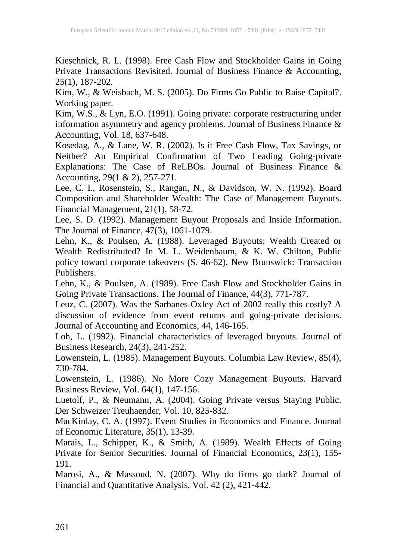Kieschnick, R. L. (1998). Free Cash Flow and Stockholder Gains in Going Private Transactions Revisited. Journal of Business Finance & Accounting, 25(1), 187-202.

Kim, W., & Weisbach, M. S. (2005). Do Firms Go Public to Raise Capital?. Working paper.

Kim, W.S., & Lyn, E.O. (1991). Going private: corporate restructuring under information asymmetry and agency problems. Journal of Business Finance & Accounting, Vol. 18, 637-648.

Kosedag, A., & Lane, W. R. (2002). Is it Free Cash Flow, Tax Savings, or Neither? An Empirical Confirmation of Two Leading Going-private Explanations: The Case of ReLBOs. Journal of Business Finance & Accounting, 29(1 & 2), 257-271.

Lee, C. I., Rosenstein, S., Rangan, N., & Davidson, W. N. (1992). Board Composition and Shareholder Wealth: The Case of Management Buyouts. Financial Management, 21(1), 58-72.

Lee, S. D. (1992). Management Buyout Proposals and Inside Information. The Journal of Finance, 47(3), 1061-1079.

Lehn, K., & Poulsen, A. (1988). Leveraged Buyouts: Wealth Created or Wealth Redistributed? In M. L. Weidenbaum, & K. W. Chilton, Public policy toward corporate takeovers (S. 46-62). New Brunswick: Transaction Publishers.

Lehn, K., & Poulsen, A. (1989). Free Cash Flow and Stockholder Gains in Going Private Transactions. The Journal of Finance, 44(3), 771-787.

Leuz, C. (2007). Was the Sarbanes-Oxley Act of 2002 really this costly? A discussion of evidence from event returns and going-private decisions. Journal of Accounting and Economics, 44, 146-165.

Loh, L. (1992). Financial characteristics of leveraged buyouts. Journal of Business Research, 24(3), 241-252.

Lowenstein, L. (1985). Management Buyouts. Columbia Law Review, 85(4), 730-784.

Lowenstein, L. (1986). No More Cozy Management Buyouts. Harvard Business Review, Vol. 64(1), 147-156.

Luetolf, P., & Neumann, A. (2004). Going Private versus Staying Public. Der Schweizer Treuhaender, Vol. 10, 825-832.

MacKinlay, C. A. (1997). Event Studies in Economics and Finance. Journal of Economic Literature, 35(1), 13-39.

Marais, L., Schipper, K., & Smith, A. (1989). Wealth Effects of Going Private for Senior Securities. Journal of Financial Economics, 23(1), 155- 191.

Marosi, A., & Massoud, N. (2007). Why do firms go dark? Journal of Financial and Quantitative Analysis, Vol. 42 (2), 421-442.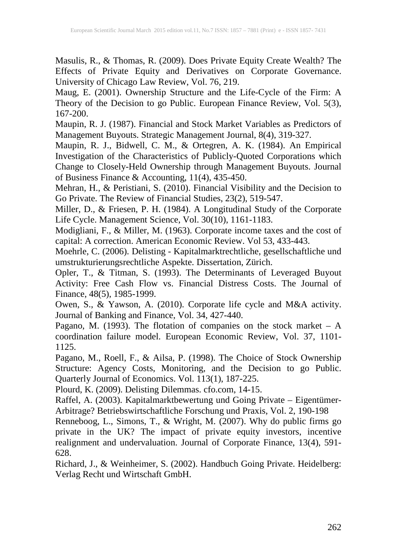Masulis, R., & Thomas, R. (2009). Does Private Equity Create Wealth? The Effects of Private Equity and Derivatives on Corporate Governance. University of Chicago Law Review, Vol. 76, 219.

Maug, E. (2001). Ownership Structure and the Life-Cycle of the Firm: A Theory of the Decision to go Public. European Finance Review, Vol. 5(3), 167-200.

Maupin, R. J. (1987). Financial and Stock Market Variables as Predictors of Management Buyouts. Strategic Management Journal, 8(4), 319-327.

Maupin, R. J., Bidwell, C. M., & Ortegren, A. K. (1984). An Empirical Investigation of the Characteristics of Publicly-Quoted Corporations which Change to Closely-Held Ownership through Management Buyouts. Journal of Business Finance & Accounting, 11(4), 435-450.

Mehran, H., & Peristiani, S. (2010). Financial Visibility and the Decision to Go Private. The Review of Financial Studies, 23(2), 519-547.

Miller, D., & Friesen, P. H. (1984). A Longitudinal Study of the Corporate Life Cycle. Management Science, Vol. 30(10), 1161-1183.

Modigliani, F., & Miller, M. (1963). Corporate income taxes and the cost of capital: A correction. American Economic Review. Vol 53, 433-443.

Moehrle, C. (2006). Delisting - Kapitalmarktrechtliche, gesellschaftliche und umstrukturierungsrechtliche Aspekte. Dissertation, Zürich.

Opler, T., & Titman, S. (1993). The Determinants of Leveraged Buyout Activity: Free Cash Flow vs. Financial Distress Costs. The Journal of Finance, 48(5), 1985-1999.

Owen, S., & Yawson, A. (2010). Corporate life cycle and M&A activity. Journal of Banking and Finance, Vol. 34, 427-440.

Pagano, M. (1993). The flotation of companies on the stock market  $- A$ coordination failure model. European Economic Review, Vol. 37, 1101- 1125.

Pagano, M., Roell, F., & Ailsa, P. (1998). The Choice of Stock Ownership Structure: Agency Costs, Monitoring, and the Decision to go Public. Quarterly Journal of Economics. Vol. 113(1), 187-225.

Plourd, K. (2009). Delisting Dilemmas. cfo.com, 14-15.

Raffel, A. (2003). Kapitalmarktbewertung und Going Private – Eigentümer-Arbitrage? Betriebswirtschaftliche Forschung und Praxis, Vol. 2, 190-198

Renneboog, L., Simons, T., & Wright, M. (2007). Why do public firms go private in the UK? The impact of private equity investors, incentive realignment and undervaluation. Journal of Corporate Finance, 13(4), 591- 628.

Richard, J., & Weinheimer, S. (2002). Handbuch Going Private. Heidelberg: Verlag Recht und Wirtschaft GmbH.